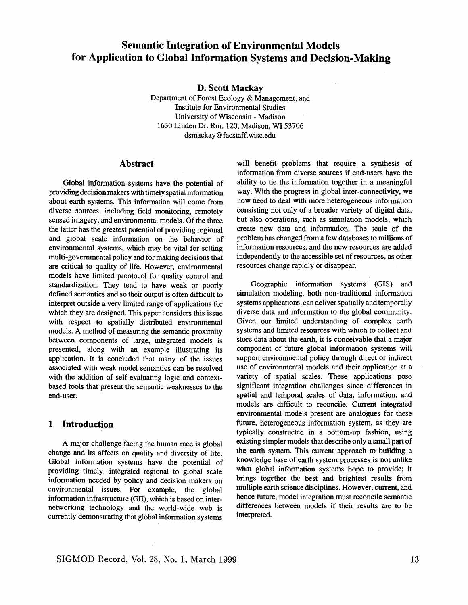# **Semantic Integration of Environmental Models for Application to Global Information Systems and Decision-Making**

**D. Scott Mackay** 

Department of Forest Ecology & Management, and Institute for Environmental Studies University of Wisconsin **-** Madison 1630 Linden Dr. Rm. 120, Madison, W153706 dsmackay @ facstaff.wisc.edu

#### **Abstract**

Global information systems have the potential of providing decision makers with timely spatial information about earth systems. This information will come from diverse sources, including field monitoring, remotely sensed imagery, and environmental models. Of the three the latter has the greatest potential of providing regional and global scale information on the behavior of environmental systems, which may be vital for setting multi-governmental policy and for making decisions that are critical to quality of life. However, environmental models have limited prootocol for quality control and standardization. They tend to have weak or poorly defined semantics and so their output is often difficult to interpret outside a very limited range of applications for which they are designed. This paper considers this issue with respect to spatially distributed environmental models. A method of measuring the semantic proximity between components of large, integrated models is presented, along with an example illustrating its application. It is concluded that many of the issues associated with weak model semantics can be resolved with the addition of self-evaluating logic and contextbased tools that present the semantic weaknesses to the end-user.

# **1 Introduction**

A major challenge facing the human race is global change and its affects on quality and diversity of life. Global information systems have the potential of providing timely, integrated regional to global scale information needed by policy and decision makers on environmental issues, For example, the global information infrastructure (GII), which is based on internetworking technology and the world-wide web is currently demonstrating that global information systems

will benefit problems that require a synthesis of information from diverse sources if end-users have the ability to tie the information together in a meaningful way. With the progress in global inter-connectivity, we now need to deal with more heterogeneous information consisting not only of a broader variety of digital data, but also operations, such as simulation models, which create new data and information. The scale of the problem has changed from a few databases to millions of information resources, and the new resources are added independently to the accessible set of resources, as other resources change rapidly or disappear.

Geographic information systems (GIS) and simulation modeling, both non-traditional information systems applications, can deliver spatially and temporally diverse data and information to the global community. Given our limited understanding of complex earth systems and limited resources with which to collect and **store** data about the earth, it is conceivable that a major component of future global information systems will support environmental policy through direct or indirect use of environmental models and their application at a variety of spatial scales. These applications pose significant integration challenges since differences in spatial and temporal scales of data, information, and models are difficult to reconcile. Current integrated environmental models present are analogues for these future, heterogeneous information system, as they are typically constructed in a bottom-up fashion, using existing simpler models that describe only a small part of the earth system. This current approach to building a knowledge base of earth system processes is not unlike what global information systems hope to provide; it brings together the best and brightest results from multiple earth science disciplines. However, current, and hence future, model integration must reconcile semantic differences between models if their results are to be interpreted.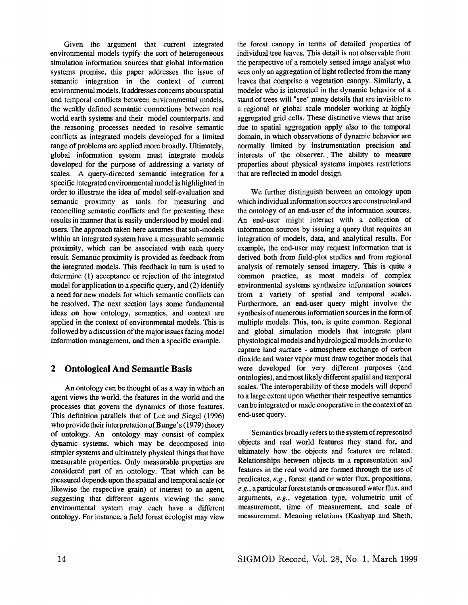Given the argument that current integrated environmental models typify the sort of heterogeneous simulation information sources that global information systems promise, this paper addresses the issue of semantic integration in the context of current environmental models. It addresses concerns about spatial and temporal conflicts between environmental models, the weakly defined semantic connections between real world earth systems and their model counterparts, and the reasoning processes needed to resolve semantic conflicts as integrated models developed for a limited range of problems are applied more broadly. Ultimately, global information system must integrate models developed for the purpose of addressing a variety of scales. A query-directed semantic integration for a specific integrated environmental model is highlighted in order to illustrate the idea of model self-evaluation and semantic proximity as tools for measuring and reconciling semantic conflicts and for presenting these results in manner that is easily understood by model endusers. The approach taken here assumes that sub-models within an integrated system have a measurable semantic proximity, which can be associated with each query result. Semantic proximity is provided as feedback from the integrated models. This feedback in turn is used to determine (1) acceptance or rejection of the integrated model for application to a specific query, and (2) identify a need for new models for which semantic conflicts can be resolved. The next section lays some fundamental ideas on how ontology, semantics, and context are applied in the context of environmental models. This is followed by a discussion of the major issues facing model information management, and then a specific example.

# **2 Ontological And Semantic Basis**

An ontology can be thought of as a way in which an agent views the world, the features in the world and the processes that govern the dynamics of those features. This definition parallels that of Lee and Siegel (1996) who provide their interpretation of Bunge's (1979) theory of ontology. An ontology may consist of complex dynamic systems, which may be decomposed into simpler systems and ultimately physical things that have measurable properties. Only measurable properties are considered part of an ontology. That which can be measured depends upon the spatial and temporal scale (or likewise the respective grain) of interest to an agent, suggesting that different agents viewing the same environmental system may each have a different ontology. For instance, a field forest ecologist may view the forest canopy in terms of detailed properties of individual tree leaves. This detail is not observable from the perspective of a remotely sensed image analyst who sees only an aggregation of light reflected from the many leaves that comprise a vegetation canopy. Similarly, a modeler who is interested in the dynamic behavior of a stand of trees will "see" many details that are invisible to a regional or global scale modeler working at highly aggregated grid ceils. These distinctive views that arise due to spatial aggregation apply also to the temporal domain, in which observations of dynamic behavior are normally limited by instrumentation precision and interests of the observer. The ability to measure properties about physical systems imposes restrictions that are reflected in model design.

We further distinguish between an ontology upon which individual information sources are constructed and the ontology of an end-user of the information sources. An end-user might interact with a collection of information sources by issuing a query that requires an integration of models, data, and analytical results. For example, the end-user may request information that is derived both from field-plot studies and from regional analysis of remotely sensed imagery. This is quite a common practice, as most models of complex environmental systems synthesize information sources from a variety of spatial and temporal scales. Furthermore, an end-user query might involve the synthesis of numerous information sources in the form of multiple models. This, too, is quite common. Regional and global simulation models that integrate plant physiological models and hydrological models in order to capture land surface - atmosphere exchange of carbon dioxide and water vapor must draw together models that were developed for very different purposes (and ontologies), and most likely different spatial and temporal scales. The interoperability of these models will depend to a large extent upon whether their respective semantics can be integrated or made cooperative in the context of an end-user query.

Semantics broadly refers to the system of represented objects and real world features they stand for, and ultimately how the objects and features are related. Relationships between objects in a representation and features in the real world are formed through the use of predicates, *e.g.,* forest stand or water flux, propositions, *e.g.,* a particular forest stands or measured water flux, and arguments, *e.g.,* vegetation type, volumetric unit of measurement, time of measurement, and scale of measurement. Meaning relations (Kashyap and Sheth,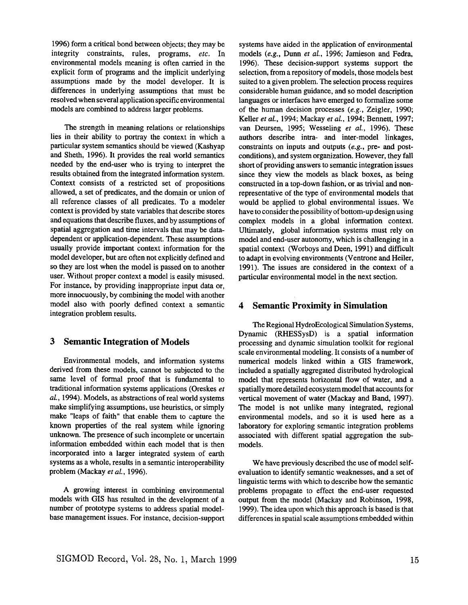1996) form a critical bond between objects; they may be integrity constraints, rules, programs, *etc.* In environmental models meaning is often carried in the explicit form of programs and the implicit underlying assumptions made by the model developer. It is differences in underlying assumptions that must be resolved when several application specific environmental models are combined to address larger problems.

The strength in meaning relations or relationships lies in their ability to portray the context in which a particular system semantics should be viewed (Kashyap and Sheth, 1996). It provides the real world semantics needed by the end-user who is trying to interpret **the**  results obtained from the integrated information system. Context consists of a restricted set of propositions allowed, a set of predicates, and the domain or union of all reference classes of all predicates. To a modeler context is provided by state Variables that describe stores and equations that describe fluxes, and by assumptions of spatial aggregation and time intervals that may be datadependent or application-dependent. These assumptions usually provide important context information for the model developer, but are often not explicitly defined and so they are lost when the model is passed on to another user. Without proper context a model is easily misused. For instance, by providing inappropriate input data or, more innocuously, by combining the model with another model also with poorly defined context a semantic integration problem results.

# **3 Semantic Integration of Models**

Environmental models, and information systems derived from these models, cannot be subjected to the same level of formal proof that is fundamental to traditional information systems applications (Oreskes *et al.,* 1994). Models, as abstractions of real world systems make simplifying assumptions, use heuristics, or simply make "leaps of faith" that enable them to capture the known properties of the real system while ignoring unknown. The presence of such incomplete or uncertain information embedded within each model that is then incorporated into a larger integrated system of earth systems as a whole, results in a semantic interoperability problem (Mackay *et al.,* 1996).

A growing interest in combining environmental models with GIS has resulted in the development of a number of prototype systems to address spatial modelbase management issues. For instance, decision-support

systems have aided in the application of environmental models *(e.g.,* Dunn *et al.,* 1996; Jamieson and Fedra, 1996). These decision-support systems support the selection, from a repository of models, those models best suited to a given problem. The selection process requires considerable human guidance, and so model description languages or interfaces have emerged to formalize some of the human decision processes *(e.g.,* Zeigler, 1990; Keller *et al.,* 1994; Mackay *et al.,* 1994; Bennett, 1997; van Deursen, 1995; Wesseling *et al.,* 1996). These authors describe intra- and inter-model linkages, constraints on inputs and outputs *(e.g.,* pre- and postconditions), and system organization. However, they fall short of providing answers to semantic integration issues since they view the models as black boxes, as being constructed in a top-down fashion, or as trivial and nonrepresentative of the type of environmental models that would be applied to global environmental issues. We have to consider the possibility of bottom-up design using complex models in a global information context. Ultimately, global information systems must rely on model and end-user autonomy, which is challenging in a spatial context (Worboys and Deen, 1991) and difficult to adapt in evolving environments (Ventrone and Heiler, 1991). The issues are considered in the context of a particular environmental model in the next section.

#### **4 Semantic Proximity in Simulation**

The Regional HydroEcological Simulation Systems, Dynamic (RHESSysD) is a spatial information processing and dynamic simulation toolkit for regional scale environmental modeling. It consists of a number of numerical models linked within a GIS framework, included a spatially aggregated distributed hydrological model that represents horizontal flow of water, and a spatially more detailed ecosystem model that accounts for vertical movement of water (Mackay and Band, 1997). The model is not unlike many integrated, regional environmental models, and so it is used here as a laboratory for exploring semantic integration problems associated with different spatial aggregation the submodels.

We have previously described the use of model selfevaluation to identify semantic weaknesses, and a set of linguistic terms with which to describe how the semantic problems propagate to effect the end-user requested output from the model (Mackay and Robinson, 1998, 1999). The idea upon which this approach is based is that differences in spatial scale assumptions embedded within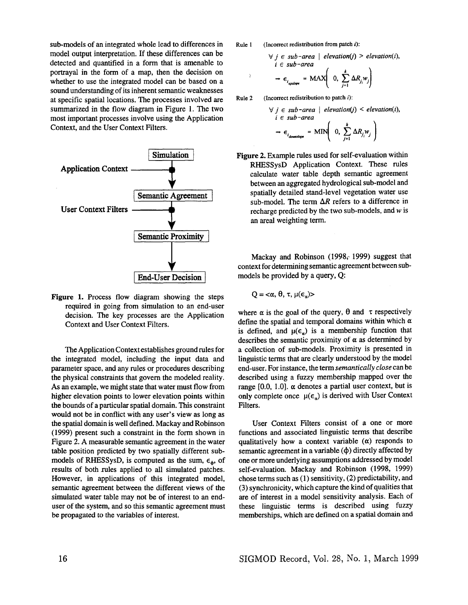sub-models of an integrated whole lead to differences in Rule 1 model output interpretation. If these differences can be detected and quantified in a form that is amenable to portrayal in the form of a map, then the decision on whether to use the integrated model can be based on a sound understanding of its inherent semantic weaknesses at specific spatial locations. The processes involved are Rule 2 summarized in the flow diagram in Figure 1. The two most important processes involve using the Application Context, and the User Context Filters.



Figure 1. Process flow diagram showing the steps required in going from simulation to an end-user decision. The key processes are the Application Context and User Context Filters.

The Application Context establishes ground rules for the integrated model, including the input data and parameter space, and any rules or procedures describing the physical constraints that govern the modeled reality. As an example, we might state that water must flow from higher elevation points to lower elevation points within the bounds of a particular spatial domain. This constraint would not be in conflict with any user's view as long as the spatial domain is well defined. Mackay and Robinson (1999) present such a constraint in the form shown in Figure 2. A measurable semantic agreement in the water table position predicted by two spatially different submodels of RHESSysD, is computed as the sum,  $\epsilon_{\phi}$ , of results of both rules applied to all simulated patches. However, in applications of this integrated model, semantic agreement between the different views of the simulated water table may not be of interest to an enduser of the system, and so this semantic agreement must be propagated to the variables of interest.

(Incorrect redistribution from patch  $i$ ):

$$
\forall j \in sub-area \mid elevation(j) > elevation(i),
$$
  

$$
i \in sub-area
$$
  

$$
\Rightarrow \epsilon_{i_{\text{update}}} = MAX \left( 0, \sum_{i=1}^{k} \Delta R_{j_i} w_j \right)
$$

(Incorrect redistribution to patch  $i$ ):

 $\overline{3}$ 

$$
\forall j \in sub-area \mid elevation(j) < elevation(i),
$$
\n
$$
i \in sub-area
$$
\n
$$
\Rightarrow \epsilon_{i_{downstop}} = MIN \left( 0, \sum_{j=1}^{k} \Delta R_{j_{j}} w_{j} \right)
$$

Figure 2. Example rules used for self-evaluation within RHESSysD Application Context. These rules calculate water table depth semantic agreement between an aggregated hydrological sub-model and spatially detailed stand-level vegetation water use sub-model. The term  $\Delta R$  refers to a difference in recharge predicted by the two sub-models, and  $w$  is an areal weighting term.

Mackay and Robinson (1998 $<sub>i</sub>$  1999) suggest that</sub> context for determining semantic agreement between submodels be provided by a query, Q:

$$
Q = \langle \alpha, \theta, \tau, \mu(\epsilon_{\alpha}) \rangle
$$

where  $\alpha$  is the goal of the query,  $\theta$  and  $\tau$  respectively define the spatial and temporal domains within which  $\alpha$ is defined, and  $\mu(\epsilon_n)$  is a membership function that describes the semantic proximity of  $\alpha$  as determined by a collection of sub-models. Proximity is presented in linguistic terms that are clearly understood by the model end-user. For instance, the term *semantically close* can be described using a fuzzy membership mapped over the range [0.0, 1.0].  $\alpha$  denotes a partial user context, but is only complete once  $\mu(\epsilon_n)$  is derived with User Context Filters.

User Context Filters consist of a one or more functions and associated linguistic terms that describe qualitatively how a context variable  $(\alpha)$  responds to semantic agreement in a variable  $(\phi)$  directly affected by one or more underlying assumptions addressed by model self-evaluation. Mackay and Robinson (1998, 1999) chose terms such as (1) sensitivity, (2) predictability, and (3) synchronicity, which capture the kind of qualities that are of interest in a model sensitivity analysis. Each of these linguistic terms is described using fuzzy memberships, which are defined on a spatial domain and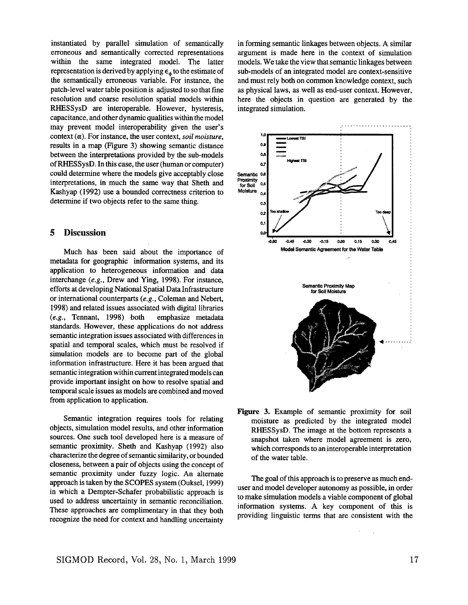instantiated by parallel simulation of semantically erroneous and semantically corrected representations within the same integrated model. The latter representation is derived by applying  $\epsilon_{\phi}$  to the estimate of the semantically erroneous variable. For instance, the patch-level water table position is adjusted to so that fine resolution and coarse resolution spatial models within RHESSysD are interoperable. However, hysteresis, capacitance, and other dynamic qualities within the model may prevent model interoperability given the user's context (a). For instance, the user context, *soil moisture,*  results in a map (Figure 3) showing semantic distance between the interpretations provided by the sub-models of RHES SysD. In this case, the user (human or computer) could determine where the models give acceptably close interpretations, in much the same way that Sheth and Kashyap (1992) use a bounded correctness criterion to determine if two objects refer to the same thing.

#### **5 Discussion**

Much has been said about the importance of metadata for geographic information systems, and its application to heterogeneous information and data interchange *(e.g.,* Drew and Ying, 1998). For instance, efforts at developing National Spatial Data Infrastructure or international counterparts *(e.g.,* Coleman and Nebert, 1998) and related issues associated with digital libraries *(e.g.,* Tennant, 1998) both emphasize metadata standards. However, these applications do not address semantic integration issues associated with differences in spatial and temporal scales, which must be resolved if simulation models are to become part of the global information infrastructure. Here it has been argued that semantic integration within current integrated models can provide important insight on how to resolve spatial and temporal scale issues as models are combined and moved from application to application.

Semantic integration requires tools for relating objects, simulation model results, and other information sources. One such tool developed here is a measure of semantic proximity. Sheth and Kashyap (1992) also characterize the degree of semantic similarity, or bounded closeness, between a pair of objects using the concept of semantic proximity under fuzzy logic. An alternate approach is taken by the SCOPES system (Ouksel, 1999) in which a Dempter-Schafer probabilistic approach is used to address uncertainty in semantic reconciliation. These approaches are complimentary in that they both recognize the need for context and handling uncertainty

in forming semantic linkages between objects. A similar argument is made here in the context of simulation models. We take the view that semantic linkages between sub-models of an integrated model are context-sensitive and must rely both on common knowledge context, such as physical laws, as well as end-user context. However, here the objects in question are generated by the integrated simulation.



Figure 3. Example of semantic proximity for soil moisture as predicted by the integrated model RHESSysD. The image at the bottom represents a snapshot taken where model agreement is zero, which corresponds to an interoperable interpretation of the water table.

The goal of this approach is to preserve as much enduser and model developer autonomy as possible, in order to make simulation models a viable component of global information systems. A key component of this is providing linguistic terms that are consistent with the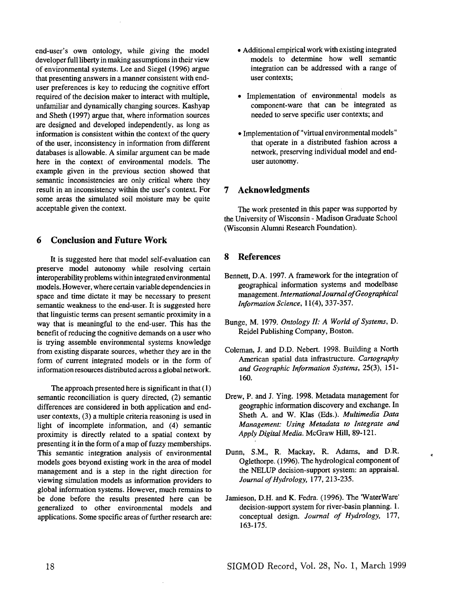end-user's own ontology, while giving the model developer full liberty in making assumptions in their view of environmental systems. Lee and Siegel (1996) argue that presenting answers in a manner consistent with enduser preferences is key to reducing the cognitive effort required of the decision maker to interact with multiple, unfamiliar and dynamically changing sources. Kashyap and Sheth (1997) argue that, where information sources are designed and developed independently, as long as information is consistent within the context of the query of the user, inconsistency in information from different databases is allowable. A similar argument can be made here in the context of environmental models. The example given in the previous section showed that semantic inconsistencies are only critical where they result in an inconsistency within the user's context. For some areas the simulated soil moisture may be quite acceptable given the context.

# **6 Conclusion and Future Work**

It is suggested here that model self-evaluation can preserve model autonomy while resolving certain interoperability problems within integrated environmental models. However, where certain variable dependencies in space and time dictate it may be necessary to present semantic weakness to the end-user. It is suggested here that linguistic terms can present semantic proximity in a way that is meaningful to the end-user. This has the benefit of reducing the cognitive demands on a user who is trying assemble environmental systems knowledge from existing disparate sources, whether they are in the form of current integrated models or in the form of information resources distributed across a global network.

The approach presented here is significant in that (1) semantic reconciliation is query directed, (2) semantic differences are considered in both application and enduser contexts, (3) a multiple criteria reasoning is used in light of incomplete information, and (4) semantic proximity is directly related to a spatial context by presenting it in the form of a map of fuzzy memberships. This semantic integration analysis of environmental models goes beyond existing work in the area of model management and is a step in the right direction for viewing simulation models as information providers to global information systems. However, much remains to be done before the results presented here can be generalized to other environmental models and applications. Some specific areas of further research are:

- Additional empirical work with existing integrated models to determine how well semantic integration can be addressed with a range of user contexts;
- Implementation of environmental models as component-ware that can be integrated as needed to serve specific user contexts; and
- Implementation of "virtual environmental models" that operate in a distributed fashion across a network, preserving individual model and enduser autonomy.

## 7 Acknowledgments

The work presented in this paper was supported by the University of Wisconsin - Madison Graduate School (Wisconsin Alumni Research Foundation).

#### 8 References

- Bennett, D.A. 1997. A framework for the integration of geographical information systems and modelbase management. *International Journal of Geographical Information Science,* 11(4), 337-357.
- Bunge, M. 1979. *Ontology II: A World of Systems, D.*  Reidel Publishing Company, Boston.
- Coleman, J. and D.D. Nebert. 1998. Building a North American spatial data infrastructure. *Cartography and Geographic Information Systems,* 25(3), 151- 160.
- Drew, P. and J. Ying. 1998. Metadata management for geographic information discovery and exchange. In Sheth A. and W. Klas (Eds.). *Multimedia Data Management: Using Metadata to Integrate and Apply Digital Media.* McGraw Hill, 89-121.
- Dunn, S.M., R, Mackay, R. Adams, and D.R. Oglethorpe. (1996). The hydrological component of the NELUP decision-support system: an appraisal. *Journal of Hydrology,* 177, 213-235.

ċ

Jamieson, D.H. and K. Fedra. (1996). The 'WaterWare' decision-support system for river-basin planning. 1. conceptual design. *Journal of Hydrology,* 177, 163-175.